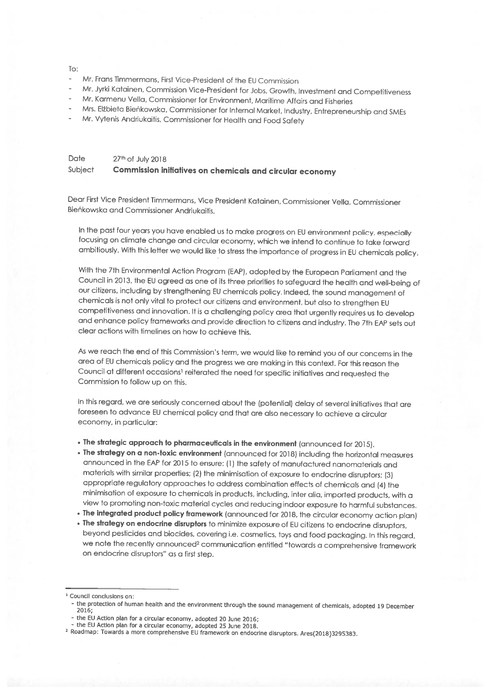### To:

- Mr. Frans Timmermans, First Vice-President of the EU Commission
- Mr. Jyrki Katoinen, Commission Vice-President for Jobs, Growth, Investment and Competitiveness
- Mr. Karmenu Vella, Commissioner for Environment, Maritime Attairs and Fisheries
- Mrs. EIbieta Bieñkowska, Commissioner for Internal Market, Industry, Entrepreneurship and SMEs
- Mr. Vytenis Andriukaitis, Commissioner for Health and Food Safety

## Date 27th of July 2018 Subject Commission initiatives on chemicals and circular economy

Dear First Vice President Timmermans, Vice President Katainen, Commissioner Vella, Commissioner Bieñkowska and Commissioner Andriukaitis,

In the past four years you have enabled us to make progress on EU environment policy, especially focusing on climate change and circular economy, which we intend to continue to take forward ambitiously. With this letter we would like to stress the importance of progress in EU chemicals policy.

With the 7th Environmental Action Program (EAP), adopted by the European Parliament and the Council in 2013, the EU agreed as one of its three priorities to safeguard the health and well-being of our citizens, including by strengthening EU chemicals policy. Indeed, the sound management of chemicals is not only vital to protect our citizens and environment, but also to strengthen EU competitiveness and innovation. It is <sup>a</sup> challenging policy area that urgently requires us to develop and enhance policy frameworks and provide direction to citizens and industry. The 7th EAP sets out clear actions with timelines on how to achieve this.

As we reach the end of this Commission's term, we would like to remind you of our concerns in the area of EU chemicals policy and the progress we are making in this context. For this reason the Council at different occasions<sup>1</sup> reiterated the need for specific initiatives and requested the Commission to follow up on this.

In this regard, we are seriously concerned about the (potential) delay of several initiatives that are foreseen to advance EU chemical policy and that are also necessary to achieve <sup>a</sup> circular economy, in particular:

- The strategic approach to <sup>p</sup>harmaceuticals in the environment (announced for 2015).
- The strategy on <sup>a</sup> non-toxic environment (announced for 2018) including the horizontal measures announced in the EAP for <sup>2015</sup> to ensure: (1) the safety ot manufactured nanomaterials and materials with similar properties; (2) the minimisation of exposure to endocrine disruptors; (3) appropriate regulatory approaches to address combination effects of chemicals and (4) the minimisation of exposure to chemicals in products, including, inter alia, imported products, with <sup>a</sup> view to promoting non-toxic material cycles and reducing indoor exposure to harmful substances.
- $\bullet$  The integrated product policy framework (announced for 2018, the circular economy action plan)
- $\bullet$  The strategy on endocrine disruptors to minimize exposure of EU citizens to endocrine disruptors. beyond pesticides and biocides, covering i.e. cosmetics, toys and food packaging. In this regard, we note the recently announced<sup>2</sup> communication entitled "towards a comprehensive framework on endocrine disruptors" as <sup>a</sup> first step.

<sup>1</sup> Council conclusions on:

<sup>-</sup> the protection of human health and the environment through the sound management of chemicals, adopted 19 December<br>2016;

<sup>-</sup> the EU Action <sup>p</sup>lan for <sup>a</sup> circular economy, adopted <sup>20</sup> ]une 2016;

<sup>-</sup> the EU Action <sup>p</sup>lan for <sup>a</sup> circular economy, adopted <sup>25</sup> June 2018. <sup>2</sup> Roadmap: Towards <sup>a</sup> more comprehensive EU framework on endocrine disruptors. Ares(2018)3295383.